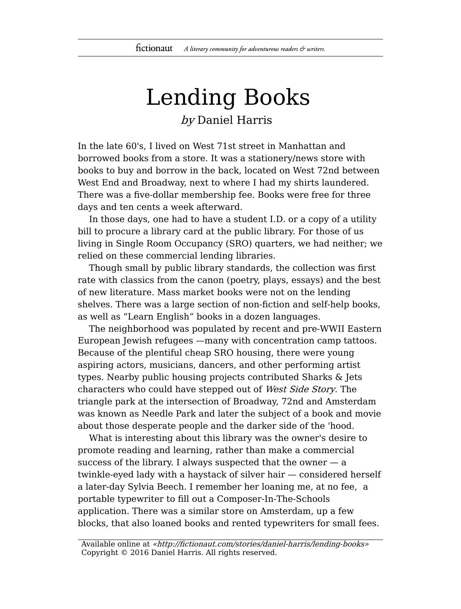## Lending Books by Daniel Harris

In the late 60's, I lived on West 71st street in Manhattan and borrowed books from a store. It was a stationery/news store with books to buy and borrow in the back, located on West 72nd between West End and Broadway, next to where I had my shirts laundered. There was a five-dollar membership fee. Books were free for three days and ten cents a week afterward.

In those days, one had to have a student I.D. or a copy of a utility bill to procure a library card at the public library. For those of us living in Single Room Occupancy (SRO) quarters, we had neither; we relied on these commercial lending libraries.

Though small by public library standards, the collection was first rate with classics from the canon (poetry, plays, essays) and the best of new literature. Mass market books were not on the lending shelves. There was a large section of non-fiction and self-help books, as well as "Learn English" books in a dozen languages.

The neighborhood was populated by recent and pre-WWII Eastern European Jewish refugees —many with concentration camp tattoos. Because of the plentiful cheap SRO housing, there were young aspiring actors, musicians, dancers, and other performing artist types. Nearby public housing projects contributed Sharks & Jets characters who could have stepped out of West Side Story. The triangle park at the intersection of Broadway, 72nd and Amsterdam was known as Needle Park and later the subject of a book and movie about those desperate people and the darker side of the 'hood.

What is interesting about this library was the owner's desire to promote reading and learning, rather than make a commercial success of the library. I always suspected that the owner  $-$  a twinkle-eyed lady with a haystack of silver hair — considered herself a later-day Sylvia Beech. I remember her loaning me, at no fee, a portable typewriter to fill out a Composer-In-The-Schools application. There was a similar store on Amsterdam, up a few blocks, that also loaned books and rented typewriters for small fees.

Available online at «http://fictionaut.com/stories/daniel-harris/lending-books» Copyright © 2016 Daniel Harris. All rights reserved.